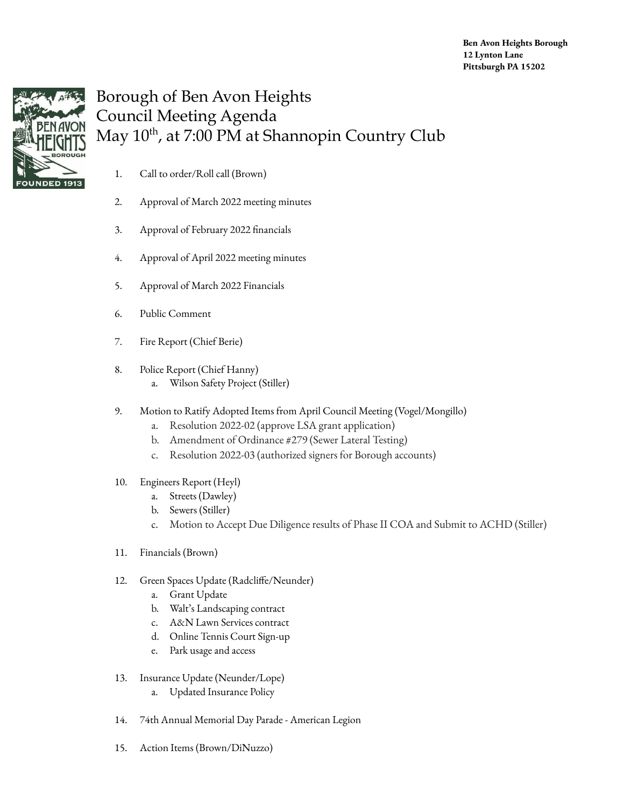

## Borough of Ben Avon Heights Council Meeting Agenda May 10<sup>th</sup>, at 7:00 PM at Shannopin Country Club

- 1. Call to order/Roll call (Brown)
- 2. Approval of March 2022 meeting minutes
- 3. Approval of February 2022 financials
- 4. Approval of April 2022 meeting minutes
- 5. Approval of March 2022 Financials
- 6. Public Comment
- 7. Fire Report (Chief Berie)
- 8. Police Report (Chief Hanny)
	- a. Wilson Safety Project (Stiller)
- 9. Motion to Ratify Adopted Items from April Council Meeting (Vogel/Mongillo)
	- a. Resolution 2022-02 (approve LSA grant application)
	- b. Amendment of Ordinance #279 (Sewer Lateral Testing)
	- c. Resolution 2022-03 (authorized signers for Borough accounts)
- 10. Engineers Report (Heyl)
	- a. Streets (Dawley)
	- b. Sewers (Stiller)
	- c. Motion to Accept Due Diligence results of Phase II COA and Submit to ACHD (Stiller)
- 11. Financials (Brown)
- 12. Green Spaces Update (Radcliffe/Neunder)
	- a. Grant Update
	- b. Walt's Landscaping contract
	- c. A&N Lawn Services contract
	- d. Online Tennis Court Sign-up
	- e. Park usage and access
- 13. Insurance Update (Neunder/Lope)
	- a. Updated Insurance Policy
- 14. 74th Annual Memorial Day Parade American Legion
- 15. Action Items (Brown/DiNuzzo)